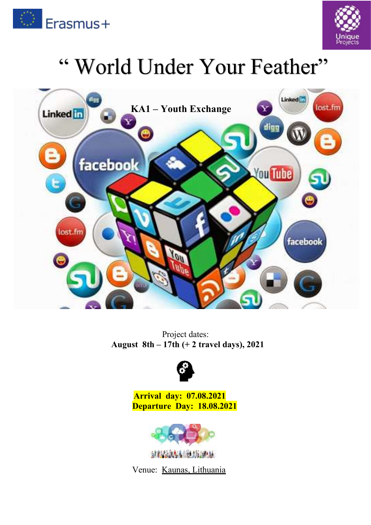



# " World Under Your Feather"



Project dates: **August 8th – 17th (+ 2 travel days), 2021**



**Arrival day: 07.08.2021 Departure Day: 18.08.2021**



过程总线站线道路线

Venue: Kaunas, Lithuania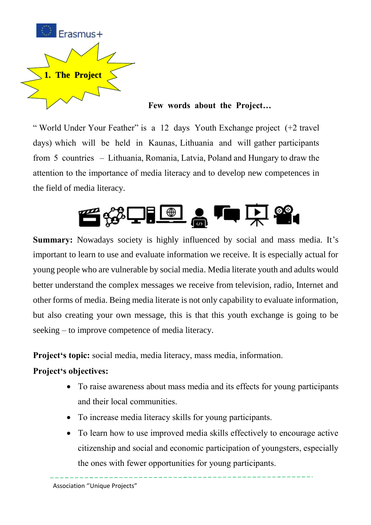

**Few words about the Project…**

" World Under Your Feather" is a 12 days Youth Exchange project (+2 travel days) which will be held in Kaunas, Lithuania and will gather participants from 5 countries – Lithuania, Romania, Latvia, Poland and Hungary to draw the attention to the importance of media literacy and to develop new competences in the field of media literacy.



**Summary:** Nowadays society is highly influenced by social and mass media. It's important to learn to use and evaluate information we receive. It is especially actual for young people who are vulnerable by social media. Media literate youth and adults would better understand the complex messages we receive from television, radio, Internet and other forms of media. Being media literate is not only capability to evaluate information, but also creating your own message, this is that this youth exchange is going to be seeking – to improve competence of media literacy.

**Project's topic:** social media, media literacy, mass media, information.

# **Project's objectives:**

- To raise awareness about mass media and its effects for young participants and their local communities.
- To increase media literacy skills for young participants.
- To learn how to use improved media skills effectively to encourage active citizenship and social and economic participation of youngsters, especially the ones with fewer opportunities for young participants.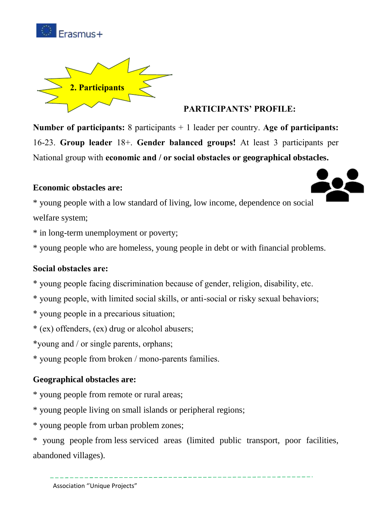



### **PARTICIPANTS' PROFILE:**

**Number of participants:** 8 participants + 1 leader per country. **Age of participants:** 16-23. **Group leader** 18+. **Gender balanced groups!** At least 3 participants per National group with **economic and / or social obstacles or geographical obstacles.**

#### **Economic obstacles are:**

\* young people with a low standard of living, low income, dependence on social welfare system;

\* in long-term unemployment or poverty;

\* young people who are homeless, young people in debt or with financial problems.

## **Social obstacles are:**

- \* young people facing discrimination because of gender, religion, disability, etc.
- \* young people, with limited social skills, or anti-social or risky sexual behaviors;
- \* young people in a precarious situation;
- \* (ex) offenders, (ex) drug or alcohol abusers;
- \*young and / or single parents, orphans;
- \* young people from broken / mono-parents families.

# **Geographical obstacles are:**

- \* young people from remote or rural areas;
- \* young people living on small islands or peripheral regions;
- \* young people from urban problem zones;

\* young people from less serviced areas (limited public transport, poor facilities, abandoned villages).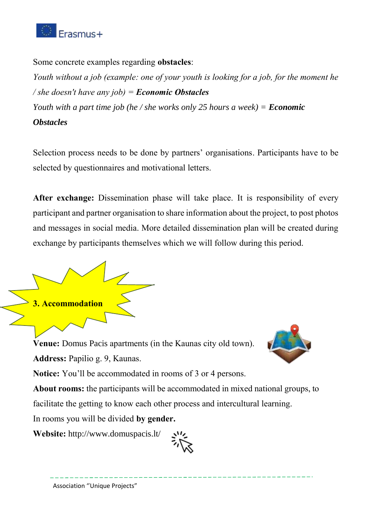

Some concrete examples regarding **obstacles**: *Youth without a job (example: one of your youth is looking for a job, for the moment he / she doesn't have any job) = Economic Obstacles Youth with a part time job (he / she works only 25 hours a week) = Economic Obstacles*

Selection process needs to be done by partners' organisations. Participants have to be selected by questionnaires and motivational letters.

**After exchange:** Dissemination phase will take place. It is responsibility of every participant and partner organisation to share information about the project, to post photos and messages in social media. More detailed dissemination plan will be created during exchange by participants themselves which we will follow during this period.





**Venue:** Domus Pacis apartments (in the Kaunas city old town). **Address:** Papilio g. 9, Kaunas.

**Notice:** You'll be accommodated in rooms of 3 or 4 persons.

**About rooms:** the participants will be accommodated in mixed national groups, to facilitate the getting to know each other process and intercultural learning.

In rooms you will be divided **by gender.** 

**Website:** http://www.domuspacis.lt/



Association ''Unique Projects"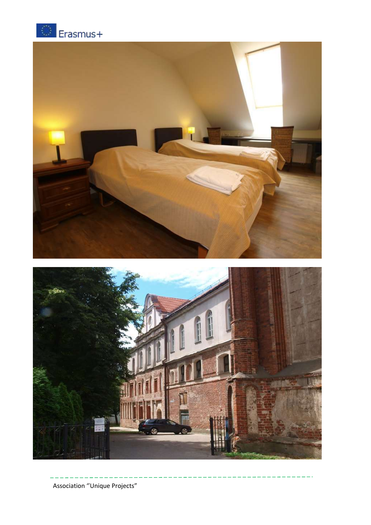

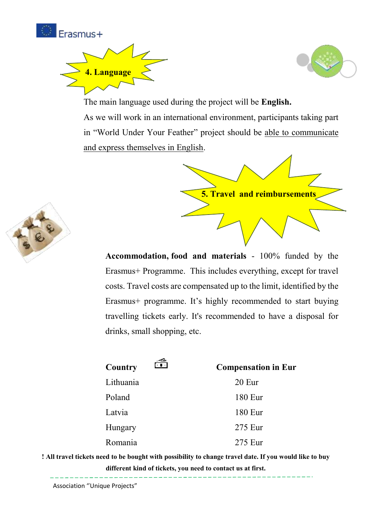





The main language used during the project will be **English.** As we will work in an international environment, participants taking part in "World Under Your Feather" project should be able to communicate and express themselves in English.



**Accommodation, food and materials** - 100% funded by the Erasmus+ Programme. This includes everything, except for travel costs. Travel costs are compensated up to the limit, identified by the Erasmus+ programme. It's highly recommended to start buying travelling tickets early. It's recommended to have a disposal for drinks, small shopping, etc.

 **5. Travel and reimbursements**

| Country   | <b>Compensation in Eur</b> |
|-----------|----------------------------|
| Lithuania | 20 Eur                     |
| Poland    | 180 Eur                    |
| Latvia    | 180 Eur                    |
| Hungary   | 275 Eur                    |
| Romania   | 275 Eur                    |

**! All travel tickets need to be bought with possibility to change travel date. If you would like to buy different kind of tickets, you need to contact us at first.**

Association ''Unique Projects"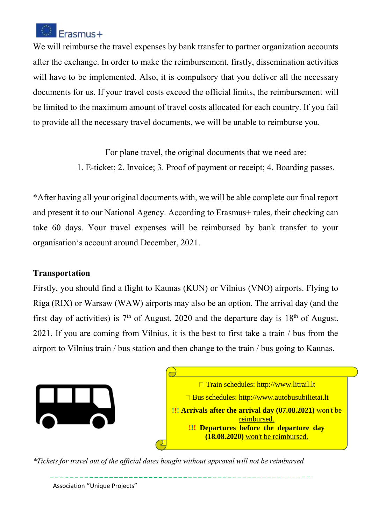

We will reimburse the travel expenses by bank transfer to partner organization accounts after the exchange. In order to make the reimbursement, firstly, dissemination activities will have to be implemented. Also, it is compulsory that you deliver all the necessary documents for us. If your travel costs exceed the official limits, the reimbursement will be limited to the maximum amount of travel costs allocated for each country. If you fail to provide all the necessary travel documents, we will be unable to reimburse you.

For plane travel, the original documents that we need are:

1. E-ticket; 2. Invoice; 3. Proof of payment or receipt; 4. Boarding passes.

\*After having all your original documents with, we will be able complete our final report and present it to our National Agency. According to Erasmus+ rules, their checking can take 60 days. Your travel expenses will be reimbursed by bank transfer to your organisation's account around December, 2021.

## **Transportation**

Firstly, you should find a flight to Kaunas (KUN) or Vilnius (VNO) airports. Flying to Riga (RIX) or Warsaw (WAW) airports may also be an option. The arrival day (and the first day of activities) is  $7<sup>th</sup>$  of August, 2020 and the departure day is  $18<sup>th</sup>$  of August, 2021. If you are coming from Vilnius, it is the best to first take a train / bus from the airport to Vilnius train / bus station and then change to the train / bus going to Kaunas.



*\*Tickets for travel out of the official dates bought without approval will not be reimbursed*

Association ''Unique Projects"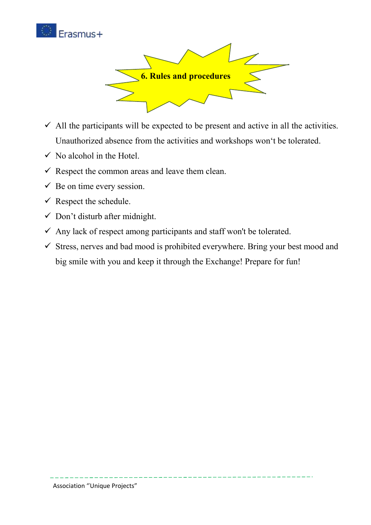



- $\checkmark$  All the participants will be expected to be present and active in all the activities. **l e** Unauthorized absence from the activities and workshops won't be tolerated.
- $\checkmark$  No alcohol in the Hotel.
- $\checkmark$  Respect the common areas and leave them clean.
- $\checkmark$  Be on time every session.
- $\checkmark$  Respect the schedule.
- $\checkmark$  Don't disturb after midnight.
- **e** Any lack of respect among participants and staff won't be tolerated.
- **u** Stress, nerves and bad mood is prohibited everywhere. Bring your best mood and **r e** big smile with you and keep it through the Exchange! Prepare for fun!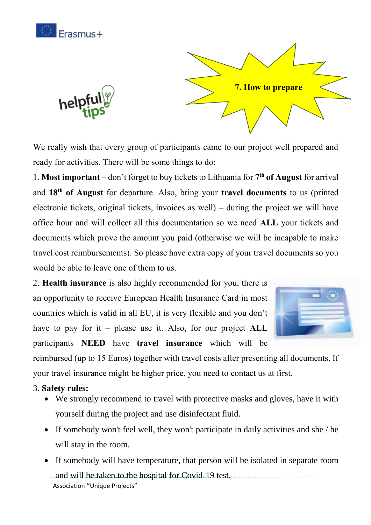



We really wish that every group of participants came to our project well prepared and ready for activities. There will be some things to do:

1. **Most important** – don't forget to buy tickets to Lithuania for **7 th of August** for arrival and **18th of August** for departure. Also, bring your **travel documents** to us (printed electronic tickets, original tickets, invoices as well) – during the project we will have office hour and will collect all this documentation so we need **ALL** your tickets and documents which prove the amount you paid (otherwise we will be incapable to make travel cost reimbursements). So please have extra copy of your travel documents so you would be able to leave one of them to us.

2. **Health insurance** is also highly recommended for you, there is an opportunity to receive European Health Insurance Card in most countries which is valid in all EU, it is very flexible and you don't have to pay for it – please use it. Also, for our project **ALL** participants **NEED** have **travel insurance** which will be



reimbursed (up to 15 Euros) together with travel costs after presenting all documents. If your travel insurance might be higher price, you need to contact us at first.

#### 3. **Safety rules:**

- We strongly recommend to travel with protective masks and gloves, have it with yourself during the project and use disinfectant fluid.
- If somebody won't feel well, they won't participate in daily activities and she / he will stay in the room.
- Association ''Unique Projects" If somebody will have temperature, that person will be isolated in separate room and will be taken to the hospital for Covid-19 test.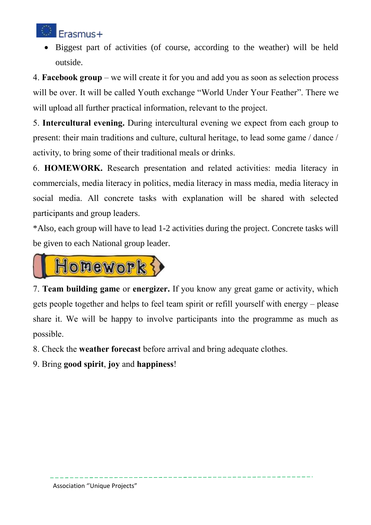

 Biggest part of activities (of course, according to the weather) will be held outside.

4. **Facebook group** – we will create it for you and add you as soon as selection process will be over. It will be called Youth exchange "World Under Your Feather". There we will upload all further practical information, relevant to the project.

5. **Intercultural evening.** During intercultural evening we expect from each group to present: their main traditions and culture, cultural heritage, to lead some game / dance / activity, to bring some of their traditional meals or drinks.

6. **HOMEWORK.** Research presentation and related activities: media literacy in commercials, media literacy in politics, media literacy in mass media, media literacy in social media. All concrete tasks with explanation will be shared with selected participants and group leaders.

\*Also, each group will have to lead 1-2 activities during the project. Concrete tasks will be given to each National group leader.



7. **Team building game** or **energizer.** If you know any great game or activity, which gets people together and helps to feel team spirit or refill yourself with energy – please share it. We will be happy to involve participants into the programme as much as possible.

8. Check the **weather forecast** before arrival and bring adequate clothes.

9. Bring **good spirit**, **joy** and **happiness**!